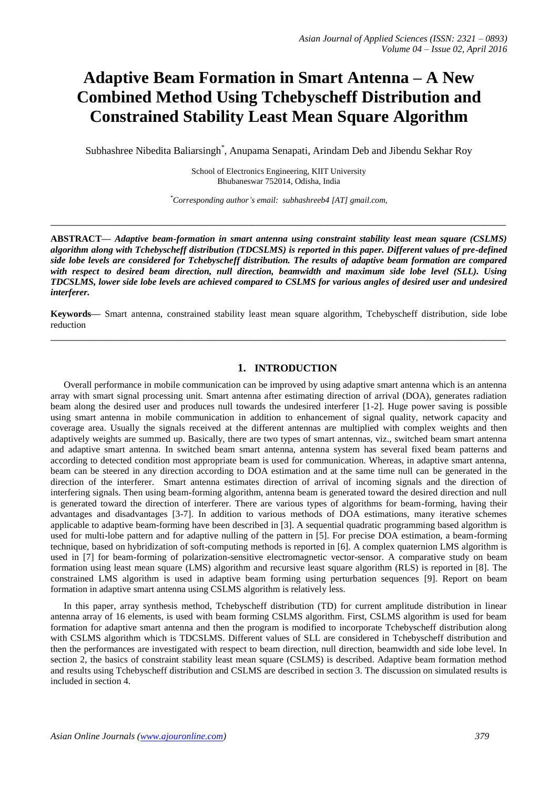# **Adaptive Beam Formation in Smart Antenna – A New Combined Method Using Tchebyscheff Distribution and Constrained Stability Least Mean Square Algorithm**

Subhashree Nibedita Baliarsingh\* , Anupama Senapati, Arindam Deb and Jibendu Sekhar Roy

School of Electronics Engineering, KIIT University Bhubaneswar 752014, Odisha, India

*\*Corresponding author's email: subhashreeb4 [AT] gmail.com,* 

**\_\_\_\_\_\_\_\_\_\_\_\_\_\_\_\_\_\_\_\_\_\_\_\_\_\_\_\_\_\_\_\_\_\_\_\_\_\_\_\_\_\_\_\_\_\_\_\_\_\_\_\_\_\_\_\_\_\_\_\_\_\_\_\_\_\_\_\_\_\_\_\_\_\_\_\_\_\_\_\_\_**

**ABSTRACT—** *Adaptive beam-formation in smart antenna using constraint stability least mean square (CSLMS) algorithm along with Tchebyscheff distribution (TDCSLMS) is reported in this paper. Different values of pre-defined side lobe levels are considered for Tchebyscheff distribution. The results of adaptive beam formation are compared with respect to desired beam direction, null direction, beamwidth and maximum side lobe level (SLL). Using TDCSLMS, lower side lobe levels are achieved compared to CSLMS for various angles of desired user and undesired interferer.* 

**Keywords—** Smart antenna, constrained stability least mean square algorithm, Tchebyscheff distribution, side lobe reduction **\_\_\_\_\_\_\_\_\_\_\_\_\_\_\_\_\_\_\_\_\_\_\_\_\_\_\_\_\_\_\_\_\_\_\_\_\_\_\_\_\_\_\_\_\_\_\_\_\_\_\_\_\_\_\_\_\_\_\_\_\_\_\_\_\_\_\_\_\_\_\_\_\_\_\_\_\_\_\_\_\_**

### **1. INTRODUCTION**

Overall performance in mobile communication can be improved by using adaptive smart antenna which is an antenna array with smart signal processing unit. Smart antenna after estimating direction of arrival (DOA), generates radiation beam along the desired user and produces null towards the undesired interferer [1-2]. Huge power saving is possible using smart antenna in mobile communication in addition to enhancement of signal quality, network capacity and coverage area. Usually the signals received at the different antennas are multiplied with complex weights and then adaptively weights are summed up. Basically, there are two types of smart antennas, viz., switched beam smart antenna and adaptive smart antenna. In switched beam smart antenna, antenna system has several fixed beam patterns and according to detected condition most appropriate beam is used for communication. Whereas, in adaptive smart antenna, beam can be steered in any direction according to DOA estimation and at the same time null can be generated in the direction of the interferer. Smart antenna estimates direction of arrival of incoming signals and the direction of interfering signals. Then using beam-forming algorithm, antenna beam is generated toward the desired direction and null is generated toward the direction of interferer. There are various types of algorithms for beam-forming, having their advantages and disadvantages [3-7]. In addition to various methods of DOA estimations, many iterative schemes applicable to adaptive beam-forming have been described in [3]. A sequential quadratic programming based algorithm is used for multi-lobe pattern and for adaptive nulling of the pattern in [5]. For precise DOA estimation, a beam-forming technique, based on hybridization of soft-computing methods is reported in [6]. A complex quaternion LMS algorithm is used in [7] for beam-forming of polarization-sensitive electromagnetic vector-sensor. A comparative study on beam formation using least mean square (LMS) algorithm and recursive least square algorithm (RLS) is reported in [8]. The constrained LMS algorithm is used in adaptive beam forming using perturbation sequences [9]. Report on beam formation in adaptive smart antenna using CSLMS algorithm is relatively less.

In this paper, array synthesis method, Tchebyscheff distribution (TD) for current amplitude distribution in linear antenna array of 16 elements, is used with beam forming CSLMS algorithm. First, CSLMS algorithm is used for beam formation for adaptive smart antenna and then the program is modified to incorporate Tchebyscheff distribution along with CSLMS algorithm which is TDCSLMS. Different values of SLL are considered in Tchebyscheff distribution and then the performances are investigated with respect to beam direction, null direction, beamwidth and side lobe level. In section 2, the basics of constraint stability least mean square (CSLMS) is described. Adaptive beam formation method and results using Tchebyscheff distribution and CSLMS are described in section 3. The discussion on simulated results is included in section 4.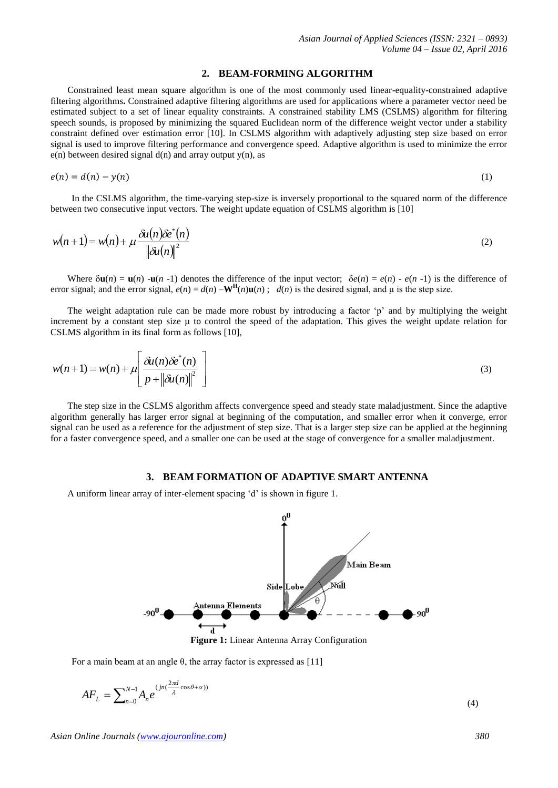#### **2. BEAM-FORMING ALGORITHM**

Constrained least mean square algorithm is one of the most commonly used linear-equality-constrained adaptive filtering algorithms**.** Constrained adaptive filtering algorithms are used for applications where a parameter vector need be estimated subject to a set of linear equality constraints. A constrained stability LMS (CSLMS) algorithm for filtering speech sounds, is proposed by minimizing the squared Euclidean norm of the difference weight vector under a stability constraint defined over estimation error [10]. In CSLMS algorithm with adaptively adjusting step size based on error signal is used to improve filtering performance and convergence speed. Adaptive algorithm is used to minimize the error  $e(n)$  between desired signal  $d(n)$  and array output  $y(n)$ , as

$$
e(n) = d(n) - y(n) \tag{1}
$$

In the CSLMS algorithm, the time-varying step-size is inversely proportional to the squared norm of the difference between two consecutive input vectors. The weight update equation of CSLMS algorithm is [10]

$$
w(n+1) = w(n) + \mu \frac{\delta u(n) \delta e^*(n)}{\|\delta u(n)\|^2}
$$
\n(2)

Where  $\delta$ **u**(*n*) = **u**(*n*) -**u**(*n* -1) denotes the difference of the input vector;  $\delta e(n) = e(n) - e(n - 1)$  is the difference of error signal; and the error signal,  $e(n) = d(n) - \mathbf{W}^{\mathbf{H}}(n)\mathbf{u}(n)$ ;  $d(n)$  is the desired signal, and  $\mu$  is the step size.

The weight adaptation rule can be made more robust by introducing a factor "p" and by multiplying the weight increment by a constant step size  $\mu$  to control the speed of the adaptation. This gives the weight update relation for CSLMS algorithm in its final form as follows [10],

$$
w(n+1) = w(n) + \mu \left[ \frac{\delta u(n) \delta e^*(n)}{p + ||\delta u(n)||^2} \right]
$$
\n(3)

The step size in the CSLMS algorithm affects convergence speed and steady state maladjustment. Since the adaptive algorithm generally has larger error signal at beginning of the computation, and smaller error when it converge, error signal can be used as a reference for the adjustment of step size. That is a larger step size can be applied at the beginning for a faster convergence speed, and a smaller one can be used at the stage of convergence for a smaller maladjustment.

#### **3. BEAM FORMATION OF ADAPTIVE SMART ANTENNA**

A uniform linear array of inter-element spacing "d" is shown in figure 1.



**Figure 1:** Linear Antenna Array Configuration

For a main beam at an angle θ, the array factor is expressed as [11]

$$
AF_L = \sum_{n=0}^{N-1} A_n e^{(jn(\frac{2\pi d}{\lambda}\cos\theta + \alpha))}
$$
(4)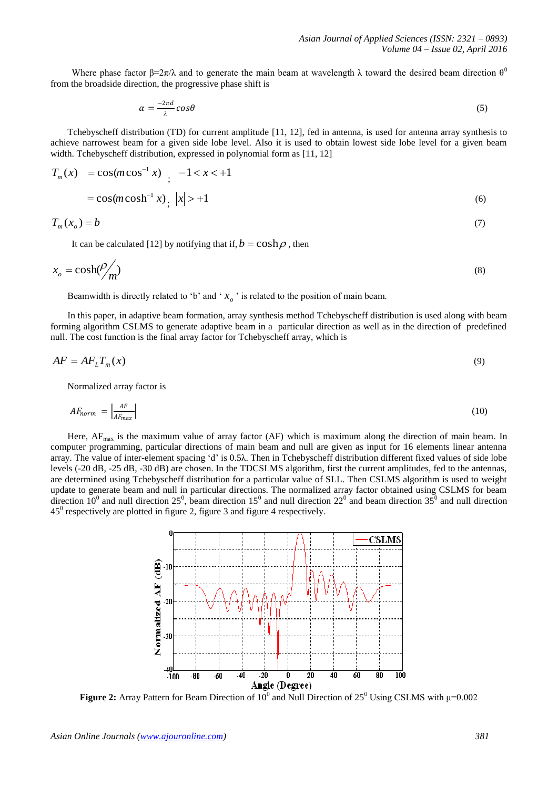Where phase factor  $\beta = 2\pi/\lambda$  and to generate the main beam at wavelength  $\lambda$  toward the desired beam direction  $\theta^0$ from the broadside direction, the progressive phase shift is

$$
\alpha = \frac{-2\pi d}{\lambda} \cos \theta \tag{5}
$$

Tchebyscheff distribution (TD) for current amplitude [11, 12], fed in antenna, is used for antenna array synthesis to achieve narrowest beam for a given side lobe level. Also it is used to obtain lowest side lobe level for a given beam width. Tchebyscheff distribution, expressed in polynomial form as [11, 12]

$$
T_m(x) = \cos(m\cos^{-1} x) \quad ; \quad -1 < x < +1
$$
\n
$$
= \cos(m\cosh^{-1} x) \quad |x| > +1 \tag{6}
$$

$$
T_m(x_o) = b \tag{7}
$$

It can be calculated [12] by notifying that if,  $b = \cosh \rho$ , then

$$
x_o = \cosh(\frac{\rho}{m})
$$
 (8)

Beamwidth is directly related to 'b' and ' $x<sub>o</sub>$ ' is related to the position of main beam.

In this paper, in adaptive beam formation, array synthesis method Tchebyscheff distribution is used along with beam forming algorithm CSLMS to generate adaptive beam in a particular direction as well as in the direction of predefined null. The cost function is the final array factor for Tchebyscheff array, which is

$$
AF = AF_L T_m(x) \tag{9}
$$

Normalized array factor is

$$
AF_{norm} = \left| \frac{AF}{AF_{max}} \right| \tag{10}
$$

Here,  $AF_{\text{max}}$  is the maximum value of array factor (AF) which is maximum along the direction of main beam. In computer programming, particular directions of main beam and null are given as input for 16 elements linear antenna array. The value of inter-element spacing "d" is 0.5λ. Then in Tchebyscheff distribution different fixed values of side lobe levels (-20 dB, -25 dB, -30 dB) are chosen. In the TDCSLMS algorithm, first the current amplitudes, fed to the antennas, are determined using Tchebyscheff distribution for a particular value of SLL. Then CSLMS algorithm is used to weight update to generate beam and null in particular directions. The normalized array factor obtained using CSLMS for beam direction  $10^0$  and null direction  $25^0$ , beam direction  $15^0$  and null direction  $22^0$  and beam direction  $35^0$  and null direction  $45^{\circ}$  respectively are plotted in figure 2, figure 3 and figure 4 respectively.



**Figure 2:** Array Pattern for Beam Direction of  $10^0$  and Null Direction of  $25^0$  Using CSLMS with  $\mu$ =0.002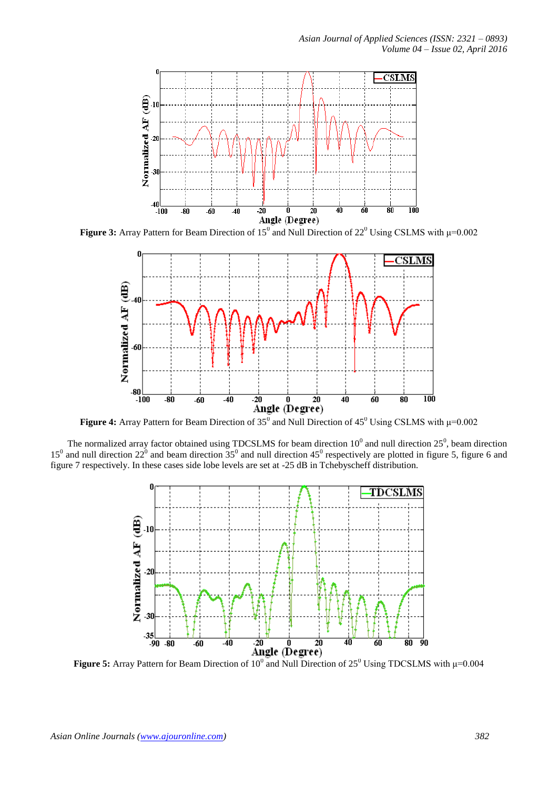

**Figure 3:** Array Pattern for Beam Direction of  $15^0$  and Null Direction of  $22^0$  Using CSLMS with  $\mu$ =0.002



**Figure 4:** Array Pattern for Beam Direction of  $35^0$  and Null Direction of  $45^0$  Using CSLMS with  $\mu$ =0.002

The normalized array factor obtained using TDCSLMS for beam direction  $10^0$  and null direction  $25^0$ , beam direction  $15^{\circ}$  and null direction  $22^{\circ}$  and beam direction  $35^{\circ}$  and null direction  $45^{\circ}$  respectively are plotted in figure 5, figure 6 and figure 7 respectively. In these cases side lobe levels are set at -25 dB in Tchebyscheff distribution.



**Figure 5:** Array Pattern for Beam Direction of  $10^{\circ}$  and Null Direction of  $25^{\circ}$  Using TDCSLMS with  $\mu$ =0.004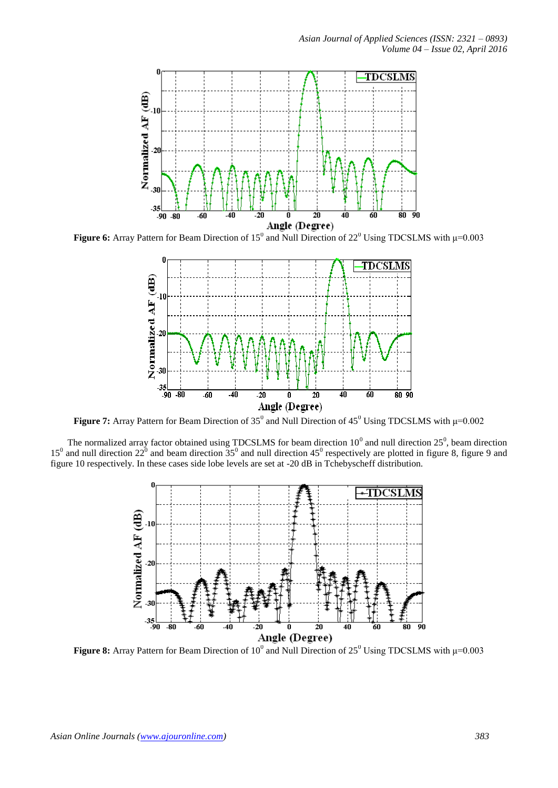

**Figure 6:** Array Pattern for Beam Direction of  $15^{\circ}$  and Null Direction of  $22^{\circ}$  Using TDCSLMS with  $\mu$ =0.003



**Figure 7:** Array Pattern for Beam Direction of  $35^{\circ}$  and Null Direction of  $45^{\circ}$  Using TDCSLMS with  $\mu$ =0.002

The normalized array factor obtained using TDCSLMS for beam direction  $10^0$  and null direction  $25^0$ , beam direction  $15^0$  and null direction  $22^0$  and beam direction  $35^0$  and null direction  $45^0$  respectively are plotted in figure 8, figure 9 and figure 10 respectively. In these cases side lobe levels are set at -20 dB in Tchebyscheff distribution.



**Figure 8:** Array Pattern for Beam Direction of  $10^0$  and Null Direction of  $25^0$  Using TDCSLMS with  $\mu$ =0.003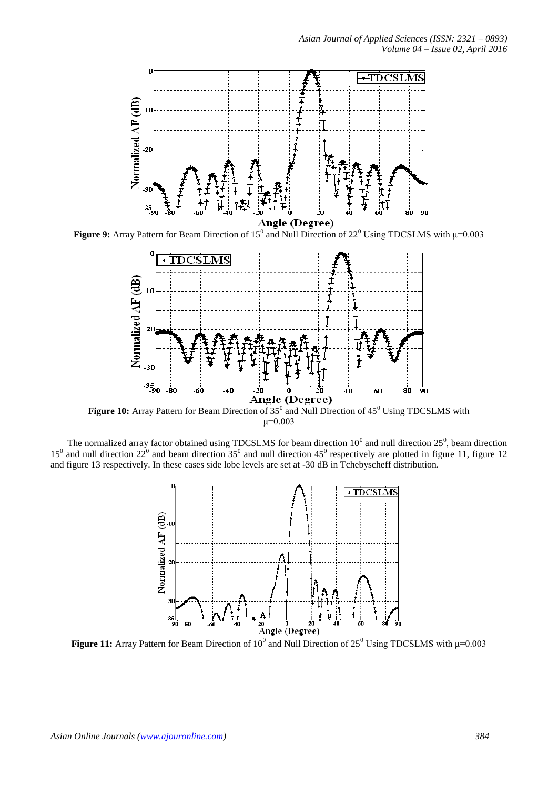

**Figure 9:** Array Pattern for Beam Direction of  $15^{\circ}$  and Null Direction of  $22^{\circ}$  Using TDCSLMS with  $\mu$ =0.003



Figure 10: Array Pattern for Beam Direction of 35<sup>0</sup> and Null Direction of 45<sup>0</sup> Using TDCSLMS with  $μ=0.003$ 

The normalized array factor obtained using TDCSLMS for beam direction  $10^0$  and null direction  $25^0$ , beam direction  $15^0$  and null direction  $22^0$  and beam direction  $35^0$  and null direction  $45^0$  respectively are plotted in figure 11, figure 12 and figure 13 respectively. In these cases side lobe levels are set at -30 dB in Tchebyscheff distribution.



**Figure 11:** Array Pattern for Beam Direction of  $10^0$  and Null Direction of  $25^0$  Using TDCSLMS with  $\mu$ =0.003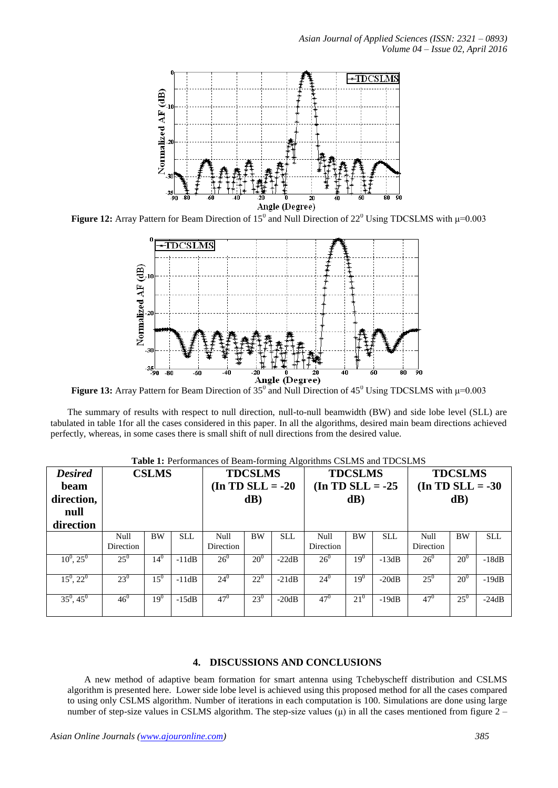

**Figure 12:** Array Pattern for Beam Direction of  $15^0$  and Null Direction of  $22^0$  Using TDCSLMS with  $\mu$ =0.003



**Figure 13:** Array Pattern for Beam Direction of  $35^0$  and Null Direction of  $45^0$  Using TDCSLMS with  $\mu$ =0.003

The summary of results with respect to null direction, null-to-null beamwidth (BW) and side lobe level (SLL) are tabulated in table 1for all the cases considered in this paper. In all the algorithms, desired main beam directions achieved perfectly, whereas, in some cases there is small shift of null directions from the desired value.

| <b>Table 1.</b> I critifiances of Beam-forming Argoriumis CSEMS and TDCSEMS |                   |                 |            |                     |           |            |                     |           |            |                    |           |            |
|-----------------------------------------------------------------------------|-------------------|-----------------|------------|---------------------|-----------|------------|---------------------|-----------|------------|--------------------|-----------|------------|
| <b>Desired</b>                                                              | <b>CSLMS</b>      |                 |            | <b>TDCSLMS</b>      |           |            | <b>TDCSLMS</b>      |           |            | <b>TDCSLMS</b>     |           |            |
| beam                                                                        |                   |                 |            | $($ In TD SLL = -20 |           |            | $(In TD SLL = -25)$ |           |            | $(In TD SLL = -30$ |           |            |
| direction,                                                                  |                   |                 |            |                     | dB)       |            |                     | dB)       |            |                    | dB)       |            |
| null                                                                        |                   |                 |            |                     |           |            |                     |           |            |                    |           |            |
| direction                                                                   |                   |                 |            |                     |           |            |                     |           |            |                    |           |            |
|                                                                             | Null<br>Direction | <b>BW</b>       | <b>SLL</b> | Null<br>Direction   | <b>BW</b> | <b>SLL</b> | Null<br>Direction   | <b>BW</b> | <b>SLL</b> | Null<br>Direction  | <b>BW</b> | <b>SLL</b> |
| $10^0$ , $25^0$                                                             | $25^{0}$          | $14^{0}$        | $-11dB$    | $26^{0}$            | $20^{0}$  | $-22dB$    | $26^{0}$            | $19^{0}$  | $-13dB$    | $26^{0}$           | $20^{0}$  | $-18dB$    |
| $15^0$ , $22^0$                                                             | $23^{0}$          | $15^{0}$        | $-11dB$    | $24^{0}$            | $22^{0}$  | $-21dB$    | $24^{0}$            | $19^{0}$  | $-20dB$    | $25^{0}$           | $20^{0}$  | $-19dB$    |
| $35^0, 45^0$                                                                | 46 <sup>0</sup>   | 19 <sup>0</sup> | $-15dB$    | $47^{0}$            | $23^{0}$  | $-20dB$    | $47^0$              | $21^{0}$  | $-19dB$    | $47^{0}$           | $25^{0}$  | $-24dB$    |

**Table 1:** Performances of Beam-forming Algorithms CSLMS and TDCSLMS

## **4. DISCUSSIONS AND CONCLUSIONS**

A new method of adaptive beam formation for smart antenna using Tchebyscheff distribution and CSLMS algorithm is presented here. Lower side lobe level is achieved using this proposed method for all the cases compared to using only CSLMS algorithm. Number of iterations in each computation is 100. Simulations are done using large number of step-size values in CSLMS algorithm. The step-size values  $(\mu)$  in all the cases mentioned from figure 2 –